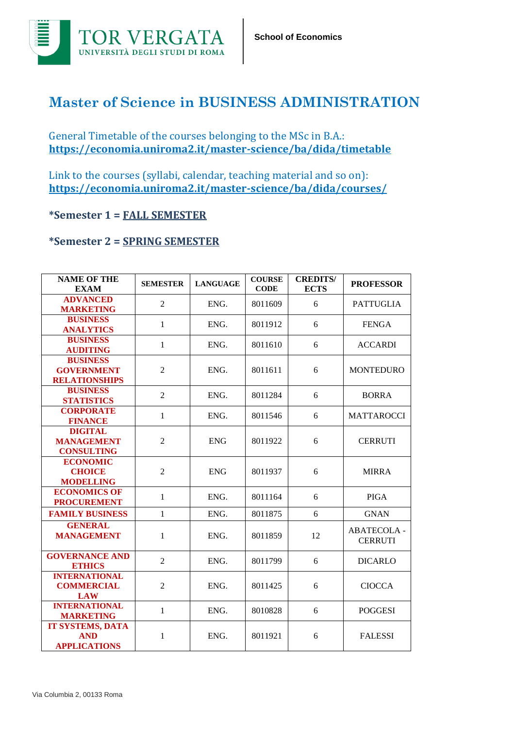

## **Master of Science in BUSINESS ADMINISTRATION**

General Timetable of the courses belonging to the MSc in B.A.: **<https://economia.uniroma2.it/master-science/ba/dida/timetable>**

Link to the courses (syllabi, calendar, teaching material and so on): **https://economia.uniroma2.it/master-science/ba/dida/courses/**

## **\*Semester 1 = FALL SEMESTER**

## **\*Semester 2 = SPRING SEMESTER**

| <b>NAME OF THE</b><br><b>EXAM</b>                            | <b>SEMESTER</b> | <b>LANGUAGE</b> | <b>COURSE</b><br><b>CODE</b> | <b>CREDITS/</b><br><b>ECTS</b> | <b>PROFESSOR</b>                    |
|--------------------------------------------------------------|-----------------|-----------------|------------------------------|--------------------------------|-------------------------------------|
| <b>ADVANCED</b><br><b>MARKETING</b>                          | 2               | ENG.            | 8011609                      | 6                              | <b>PATTUGLIA</b>                    |
| <b>BUSINESS</b><br><b>ANALYTICS</b>                          | $\mathbf{1}$    | ENG.            | 8011912                      | 6                              | <b>FENGA</b>                        |
| <b>BUSINESS</b><br><b>AUDITING</b>                           | $\mathbf{1}$    | ENG.            | 8011610                      | 6                              | <b>ACCARDI</b>                      |
| <b>BUSINESS</b><br><b>GOVERNMENT</b><br><b>RELATIONSHIPS</b> | $\overline{c}$  | ENG.            | 8011611                      | 6                              | <b>MONTEDURO</b>                    |
| <b>BUSINESS</b><br><b>STATISTICS</b>                         | $\overline{2}$  | ENG.            | 8011284                      | 6                              | <b>BORRA</b>                        |
| <b>CORPORATE</b><br><b>FINANCE</b>                           | $\mathbf{1}$    | ENG.            | 8011546                      | 6                              | <b>MATTAROCCI</b>                   |
| <b>DIGITAL</b><br><b>MANAGEMENT</b><br><b>CONSULTING</b>     | $\overline{2}$  | <b>ENG</b>      | 8011922                      | 6                              | <b>CERRUTI</b>                      |
| <b>ECONOMIC</b><br><b>CHOICE</b><br><b>MODELLING</b>         | $\overline{2}$  | <b>ENG</b>      | 8011937                      | 6                              | <b>MIRRA</b>                        |
| <b>ECONOMICS OF</b><br><b>PROCUREMENT</b>                    | $\mathbf{1}$    | ENG.            | 8011164                      | 6                              | <b>PIGA</b>                         |
| <b>FAMILY BUSINESS</b>                                       | $\mathbf{1}$    | ENG.            | 8011875                      | 6                              | <b>GNAN</b>                         |
| <b>GENERAL</b><br><b>MANAGEMENT</b>                          | 1               | ENG.            | 8011859                      | 12                             | <b>ABATECOLA-</b><br><b>CERRUTI</b> |
| <b>GOVERNANCE AND</b><br><b>ETHICS</b>                       | $\overline{2}$  | ENG.            | 8011799                      | 6                              | <b>DICARLO</b>                      |
| <b>INTERNATIONAL</b><br><b>COMMERCIAL</b><br><b>LAW</b>      | $\overline{c}$  | ENG.            | 8011425                      | 6                              | <b>CIOCCA</b>                       |
| <b>INTERNATIONAL</b><br><b>MARKETING</b>                     | $\mathbf{1}$    | ENG.            | 8010828                      | 6                              | <b>POGGESI</b>                      |
| <b>IT SYSTEMS, DATA</b><br><b>AND</b><br><b>APPLICATIONS</b> | 1               | ENG.            | 8011921                      | 6                              | <b>FALESSI</b>                      |